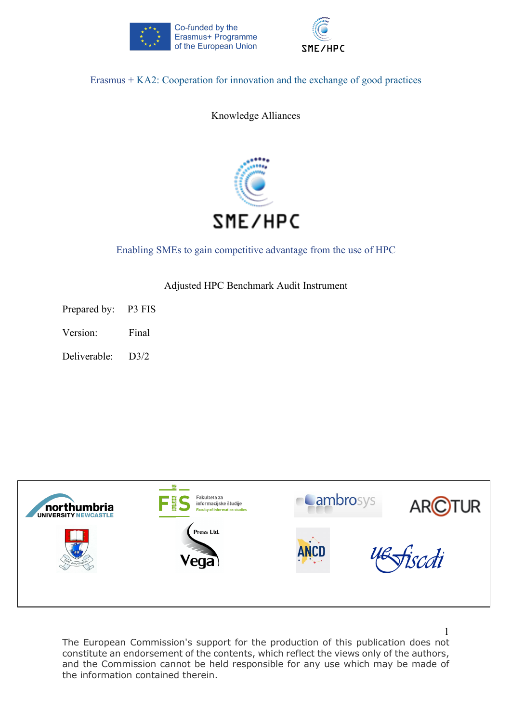



Erasmus + KA2: Cooperation for innovation and the exchange of good practices

Knowledge Alliances



# Enabling SMEs to gain competitive advantage from the use of HPC

Adjusted HPC Benchmark Audit Instrument

Prepared by: P3 FIS

Version: Final

Deliverable: D3/2



The European Commission's support for the production of this publication does not constitute an endorsement of the contents, which reflect the views only of the authors, and the Commission cannot be held responsible for any use which may be made of the information contained therein.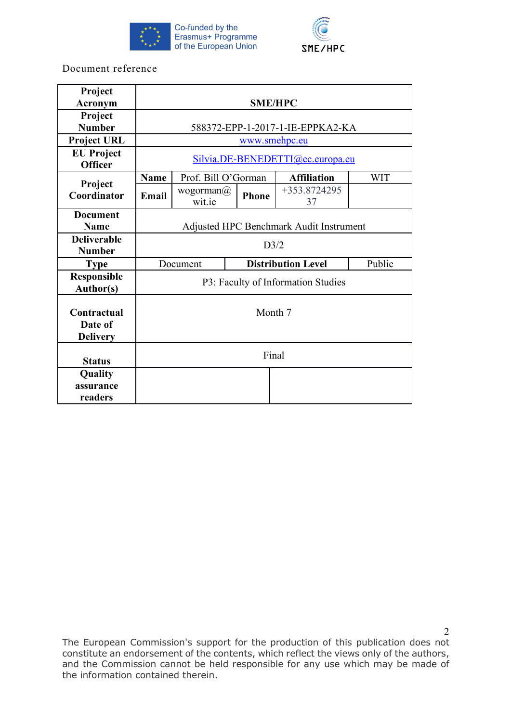



Document reference

| Project<br><b>Acronym</b>                 | <b>SME/HPC</b>                          |                                                 |              |                      |            |  |  |  |  |
|-------------------------------------------|-----------------------------------------|-------------------------------------------------|--------------|----------------------|------------|--|--|--|--|
| Project<br><b>Number</b>                  | 588372-EPP-1-2017-1-IE-EPPKA2-KA        |                                                 |              |                      |            |  |  |  |  |
| <b>Project URL</b>                        |                                         | <u>www.smehpc.eu</u>                            |              |                      |            |  |  |  |  |
| <b>EU</b> Project<br><b>Officer</b>       |                                         | Silvia.DE-BENEDETTI@ec.europa.eu                |              |                      |            |  |  |  |  |
|                                           | <b>Name</b>                             | Prof. Bill O'Gorman                             |              | <b>Affiliation</b>   | <b>WIT</b> |  |  |  |  |
| Project<br>Coordinator                    | Email                                   | wogorman $\omega$<br>wit.ie                     | <b>Phone</b> | $+353.8724295$<br>37 |            |  |  |  |  |
| <b>Document</b><br><b>Name</b>            | Adjusted HPC Benchmark Audit Instrument |                                                 |              |                      |            |  |  |  |  |
| <b>Deliverable</b><br><b>Number</b>       |                                         | D3/2                                            |              |                      |            |  |  |  |  |
| <b>Type</b>                               |                                         | <b>Distribution Level</b><br>Public<br>Document |              |                      |            |  |  |  |  |
| Responsible<br><b>Author(s)</b>           | P3: Faculty of Information Studies      |                                                 |              |                      |            |  |  |  |  |
| Contractual<br>Date of<br><b>Delivery</b> | Month 7                                 |                                                 |              |                      |            |  |  |  |  |
| <b>Status</b>                             |                                         |                                                 | Final        |                      |            |  |  |  |  |
| Quality<br>assurance<br>readers           |                                         |                                                 |              |                      |            |  |  |  |  |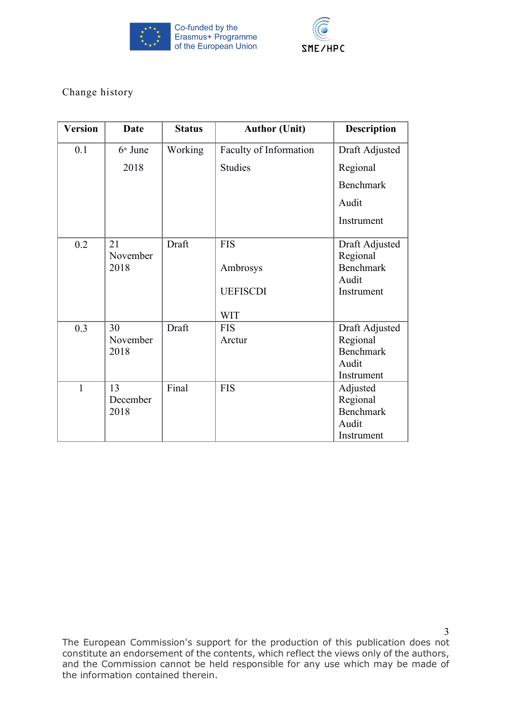



Change history

| <b>Version</b> | <b>Date</b>    | <b>Status</b> | <b>Author (Unit)</b>   | <b>Description</b>         |
|----------------|----------------|---------------|------------------------|----------------------------|
| 0.1            | $6th$ June     | Working       | Faculty of Information | Draft Adjusted             |
|                | 2018           |               | <b>Studies</b>         | Regional                   |
|                |                |               |                        | Benchmark                  |
|                |                |               |                        | Audit                      |
|                |                |               |                        | Instrument                 |
| 0.2            | 21<br>November | Draft         | <b>FIS</b>             | Draft Adjusted<br>Regional |
|                | 2018           |               | Ambrosys               | <b>Benchmark</b><br>Audit  |
|                |                |               | <b>UEFISCDI</b>        | Instrument                 |
|                |                |               | <b>WIT</b>             |                            |
| 0.3            | 30             | Draft         | <b>FIS</b>             | Draft Adjusted             |
|                | November       |               | Arctur                 | Regional                   |
|                | 2018           |               |                        | <b>Benchmark</b>           |
|                |                |               |                        | Audit                      |
|                |                |               |                        | Instrument                 |
| $\mathbf{1}$   | 13             | Final         | <b>FIS</b>             | Adjusted                   |
|                | December       |               |                        | Regional                   |
|                | 2018           |               |                        | Benchmark                  |
|                |                |               |                        | Audit                      |
|                |                |               |                        | Instrument                 |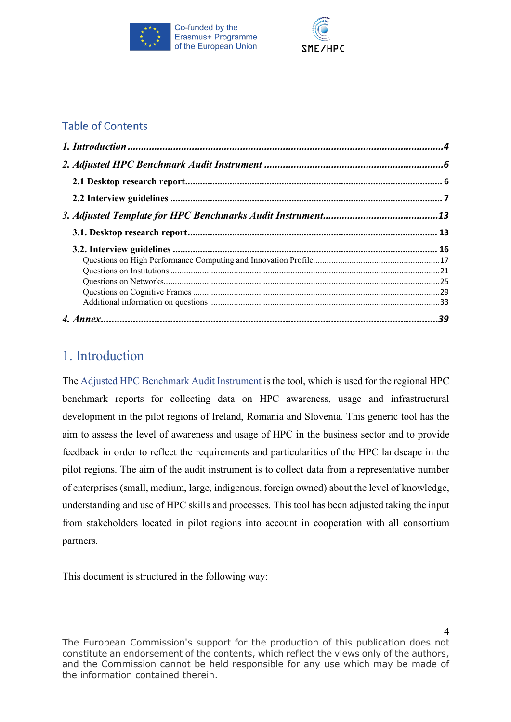



# Table of Contents

# 1. Introduction

The Adjusted HPC Benchmark Audit Instrument is the tool, which is used for the regional HPC benchmark reports for collecting data on HPC awareness, usage and infrastructural development in the pilot regions of Ireland, Romania and Slovenia. This generic tool has the aim to assess the level of awareness and usage of HPC in the business sector and to provide feedback in order to reflect the requirements and particularities of the HPC landscape in the pilot regions. The aim of the audit instrument is to collect data from a representative number of enterprises (small, medium, large, indigenous, foreign owned) about the level of knowledge, understanding and use of HPC skills and processes. This tool has been adjusted taking the input from stakeholders located in pilot regions into account in cooperation with all consortium partners.

This document is structured in the following way: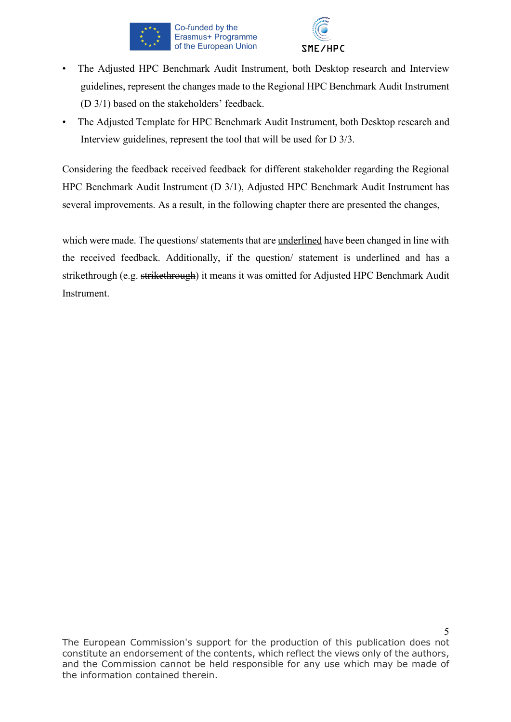



- The Adjusted HPC Benchmark Audit Instrument, both Desktop research and Interview guidelines, represent the changes made to the Regional HPC Benchmark Audit Instrument (D 3/1) based on the stakeholders' feedback.
- The Adjusted Template for HPC Benchmark Audit Instrument, both Desktop research and Interview guidelines, represent the tool that will be used for D 3/3.

Considering the feedback received feedback for different stakeholder regarding the Regional HPC Benchmark Audit Instrument (D 3/1), Adjusted HPC Benchmark Audit Instrument has several improvements. As a result, in the following chapter there are presented the changes,

which were made. The questions/ statements that are underlined have been changed in line with the received feedback. Additionally, if the question/ statement is underlined and has a strikethrough (e.g. strikethrough) it means it was omitted for Adjusted HPC Benchmark Audit Instrument.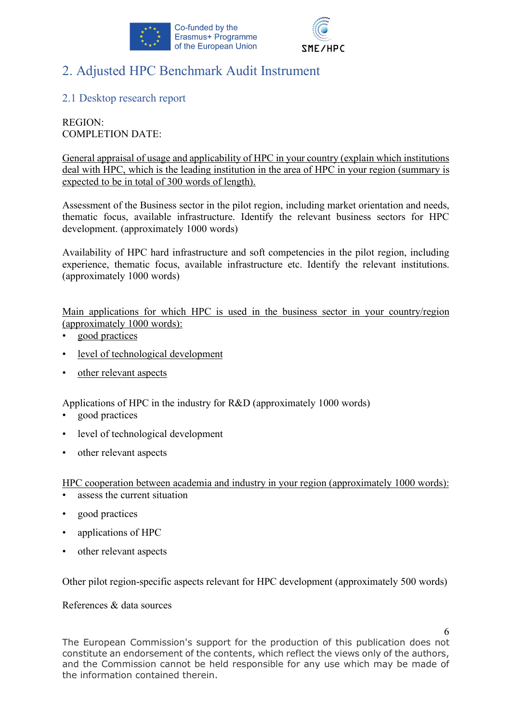



# 2. Adjusted HPC Benchmark Audit Instrument

# 2.1 Desktop research report

REGION: COMPLETION DATE:

General appraisal of usage and applicability of HPC in your country (explain which institutions deal with HPC, which is the leading institution in the area of HPC in your region (summary is expected to be in total of 300 words of length).

Assessment of the Business sector in the pilot region, including market orientation and needs, thematic focus, available infrastructure. Identify the relevant business sectors for HPC development. (approximately 1000 words)

Availability of HPC hard infrastructure and soft competencies in the pilot region, including experience, thematic focus, available infrastructure etc. Identify the relevant institutions. (approximately 1000 words)

Main applications for which HPC is used in the business sector in your country/region (approximately 1000 words):

- good practices
- level of technological development
- other relevant aspects

Applications of HPC in the industry for R&D (approximately 1000 words)

- good practices
- level of technological development
- other relevant aspects

HPC cooperation between academia and industry in your region (approximately 1000 words):

- assess the current situation
- good practices
- applications of HPC
- other relevant aspects

Other pilot region-specific aspects relevant for HPC development (approximately 500 words)

References & data sources

6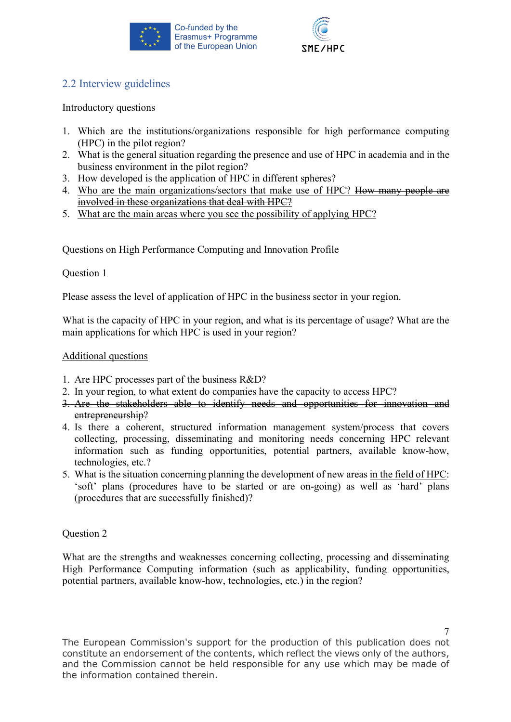



# 2.2 Interview guidelines

Introductory questions

- 1. Which are the institutions/organizations responsible for high performance computing (HPC) in the pilot region?
- 2. What is the general situation regarding the presence and use of HPC in academia and in the business environment in the pilot region?
- 3. How developed is the application of HPC in different spheres?
- 4. Who are the main organizations/sectors that make use of HPC? How many people are involved in these organizations that deal with HPC?
- 5. What are the main areas where you see the possibility of applying HPC?

Questions on High Performance Computing and Innovation Profile

# Question 1

Please assess the level of application of HPC in the business sector in your region.

What is the capacity of HPC in your region, and what is its percentage of usage? What are the main applications for which HPC is used in your region?

### Additional questions

- 1. Are HPC processes part of the business R&D?
- 2. In your region, to what extent do companies have the capacity to access HPC?
- 3. Are the stakeholders able to identify needs and opportunities for innovation and entrepreneurship?
- 4. Is there a coherent, structured information management system/process that covers collecting, processing, disseminating and monitoring needs concerning HPC relevant information such as funding opportunities, potential partners, available know-how, technologies, etc.?
- 5. What is the situation concerning planning the development of new areas in the field of HPC: 'soft' plans (procedures have to be started or are on-going) as well as 'hard' plans (procedures that are successfully finished)?

# Question 2

What are the strengths and weaknesses concerning collecting, processing and disseminating High Performance Computing information (such as applicability, funding opportunities, potential partners, available know-how, technologies, etc.) in the region?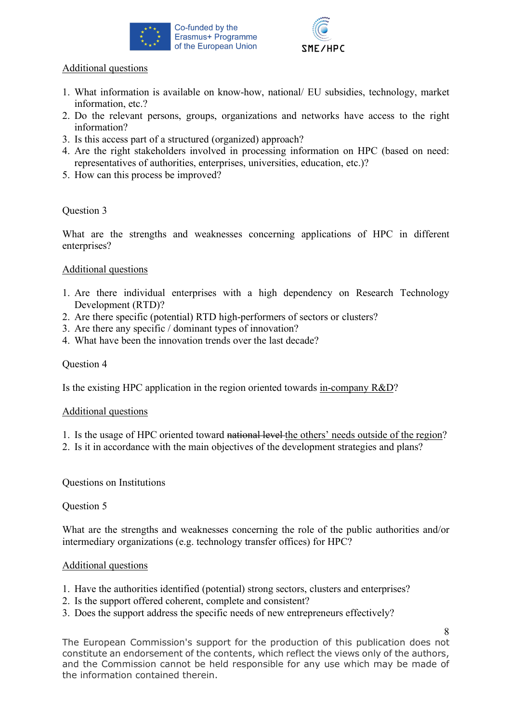



# Additional questions

- 1. What information is available on know-how, national/ EU subsidies, technology, market information, etc.?
- 2. Do the relevant persons, groups, organizations and networks have access to the right information?
- 3. Is this access part of a structured (organized) approach?
- 4. Are the right stakeholders involved in processing information on HPC (based on need: representatives of authorities, enterprises, universities, education, etc.)?
- 5. How can this process be improved?

# Question 3

What are the strengths and weaknesses concerning applications of HPC in different enterprises?

# Additional questions

- 1. Are there individual enterprises with a high dependency on Research Technology Development (RTD)?
- 2. Are there specific (potential) RTD high-performers of sectors or clusters?
- 3. Are there any specific / dominant types of innovation?
- 4. What have been the innovation trends over the last decade?

### Question 4

Is the existing HPC application in the region oriented towards in-company R&D?

#### Additional questions

- 1. Is the usage of HPC oriented toward national level the others' needs outside of the region?
- 2. Is it in accordance with the main objectives of the development strategies and plans?

Questions on Institutions

#### Question 5

What are the strengths and weaknesses concerning the role of the public authorities and/or intermediary organizations (e.g. technology transfer offices) for HPC?

#### Additional questions

- 1. Have the authorities identified (potential) strong sectors, clusters and enterprises?
- 2. Is the support offered coherent, complete and consistent?
- 3. Does the support address the specific needs of new entrepreneurs effectively?

8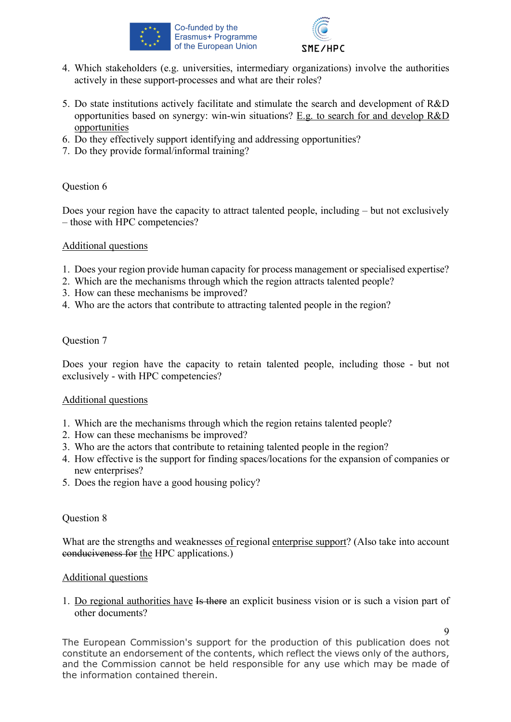



- 4. Which stakeholders (e.g. universities, intermediary organizations) involve the authorities actively in these support-processes and what are their roles?
- 5. Do state institutions actively facilitate and stimulate the search and development of R&D opportunities based on synergy: win-win situations? E.g. to search for and develop R&D opportunities
- 6. Do they effectively support identifying and addressing opportunities?
- 7. Do they provide formal/informal training?

Does your region have the capacity to attract talented people, including – but not exclusively – those with HPC competencies?

#### Additional questions

- 1. Does your region provide human capacity for process management or specialised expertise?
- 2. Which are the mechanisms through which the region attracts talented people?
- 3. How can these mechanisms be improved?
- 4. Who are the actors that contribute to attracting talented people in the region?

# Question 7

Does your region have the capacity to retain talented people, including those - but not exclusively - with HPC competencies?

#### Additional questions

- 1. Which are the mechanisms through which the region retains talented people?
- 2. How can these mechanisms be improved?
- 3. Who are the actors that contribute to retaining talented people in the region?
- 4. How effective is the support for finding spaces/locations for the expansion of companies or new enterprises?
- 5. Does the region have a good housing policy?

#### Question 8

What are the strengths and weaknesses of regional enterprise support? (Also take into account conduciveness for the HPC applications.)

#### Additional questions

1. Do regional authorities have Is there an explicit business vision or is such a vision part of other documents?

 $\mathbf Q$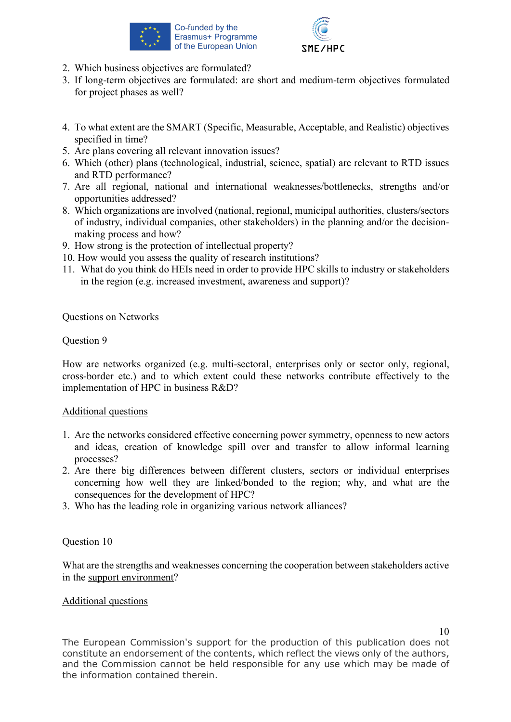



- 2. Which business objectives are formulated?
- 3. If long-term objectives are formulated: are short and medium-term objectives formulated for project phases as well?
- 4. To what extent are the SMART (Specific, Measurable, Acceptable, and Realistic) objectives specified in time?
- 5. Are plans covering all relevant innovation issues?
- 6. Which (other) plans (technological, industrial, science, spatial) are relevant to RTD issues and RTD performance?
- 7. Are all regional, national and international weaknesses/bottlenecks, strengths and/or opportunities addressed?
- 8. Which organizations are involved (national, regional, municipal authorities, clusters/sectors of industry, individual companies, other stakeholders) in the planning and/or the decisionmaking process and how?
- 9. How strong is the protection of intellectual property?
- 10. How would you assess the quality of research institutions?
- 11. What do you think do HEIs need in order to provide HPC skills to industry or stakeholders in the region (e.g. increased investment, awareness and support)?

Questions on Networks

# Question 9

How are networks organized (e.g. multi-sectoral, enterprises only or sector only, regional, cross-border etc.) and to which extent could these networks contribute effectively to the implementation of HPC in business R&D?

#### Additional questions

- 1. Are the networks considered effective concerning power symmetry, openness to new actors and ideas, creation of knowledge spill over and transfer to allow informal learning processes?
- 2. Are there big differences between different clusters, sectors or individual enterprises concerning how well they are linked/bonded to the region; why, and what are the consequences for the development of HPC?
- 3. Who has the leading role in organizing various network alliances?

#### Question 10

What are the strengths and weaknesses concerning the cooperation between stakeholders active in the support environment?

#### Additional questions

10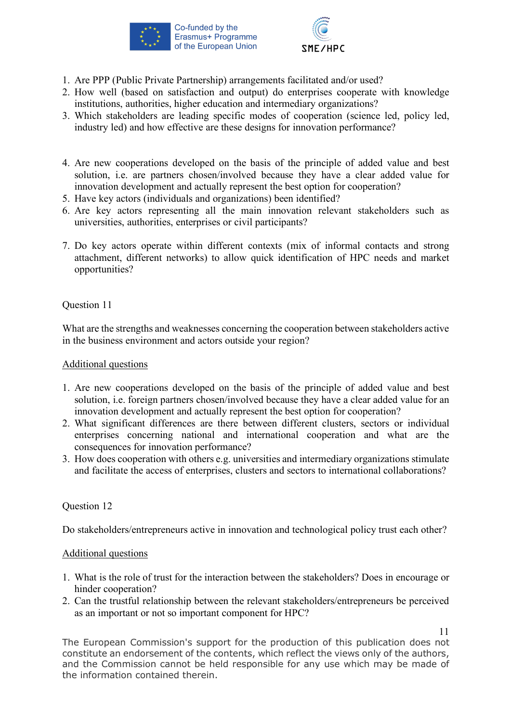



- 1. Are PPP (Public Private Partnership) arrangements facilitated and/or used?
- 2. How well (based on satisfaction and output) do enterprises cooperate with knowledge institutions, authorities, higher education and intermediary organizations?
- 3. Which stakeholders are leading specific modes of cooperation (science led, policy led, industry led) and how effective are these designs for innovation performance?
- 4. Are new cooperations developed on the basis of the principle of added value and best solution, i.e. are partners chosen/involved because they have a clear added value for innovation development and actually represent the best option for cooperation?
- 5. Have key actors (individuals and organizations) been identified?
- 6. Are key actors representing all the main innovation relevant stakeholders such as universities, authorities, enterprises or civil participants?
- 7. Do key actors operate within different contexts (mix of informal contacts and strong attachment, different networks) to allow quick identification of HPC needs and market opportunities?

What are the strengths and weaknesses concerning the cooperation between stakeholders active in the business environment and actors outside your region?

#### Additional questions

- 1. Are new cooperations developed on the basis of the principle of added value and best solution, i.e. foreign partners chosen/involved because they have a clear added value for an innovation development and actually represent the best option for cooperation?
- 2. What significant differences are there between different clusters, sectors or individual enterprises concerning national and international cooperation and what are the consequences for innovation performance?
- 3. How does cooperation with others e.g. universities and intermediary organizations stimulate and facilitate the access of enterprises, clusters and sectors to international collaborations?

# Question 12

Do stakeholders/entrepreneurs active in innovation and technological policy trust each other?

#### Additional questions

- 1. What is the role of trust for the interaction between the stakeholders? Does in encourage or hinder cooperation?
- 2. Can the trustful relationship between the relevant stakeholders/entrepreneurs be perceived as an important or not so important component for HPC?

11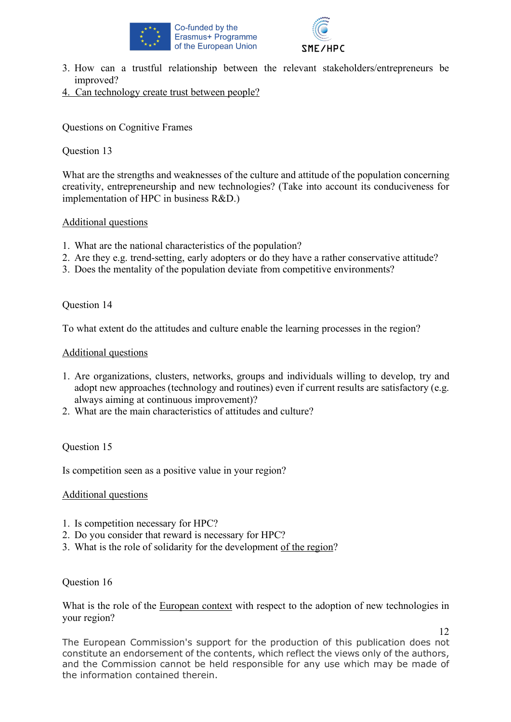



- 3. How can a trustful relationship between the relevant stakeholders/entrepreneurs be improved?
- 4. Can technology create trust between people?

Questions on Cognitive Frames

# Question 13

What are the strengths and weaknesses of the culture and attitude of the population concerning creativity, entrepreneurship and new technologies? (Take into account its conduciveness for implementation of HPC in business R&D.)

# Additional questions

- 1. What are the national characteristics of the population?
- 2. Are they e.g. trend-setting, early adopters or do they have a rather conservative attitude?
- 3. Does the mentality of the population deviate from competitive environments?

# Question 14

To what extent do the attitudes and culture enable the learning processes in the region?

# Additional questions

- 1. Are organizations, clusters, networks, groups and individuals willing to develop, try and adopt new approaches (technology and routines) even if current results are satisfactory (e.g. always aiming at continuous improvement)?
- 2. What are the main characteristics of attitudes and culture?

# Question 15

Is competition seen as a positive value in your region?

# Additional questions

- 1. Is competition necessary for HPC?
- 2. Do you consider that reward is necessary for HPC?
- 3. What is the role of solidarity for the development of the region?

#### Question 16

What is the role of the European context with respect to the adoption of new technologies in your region?

12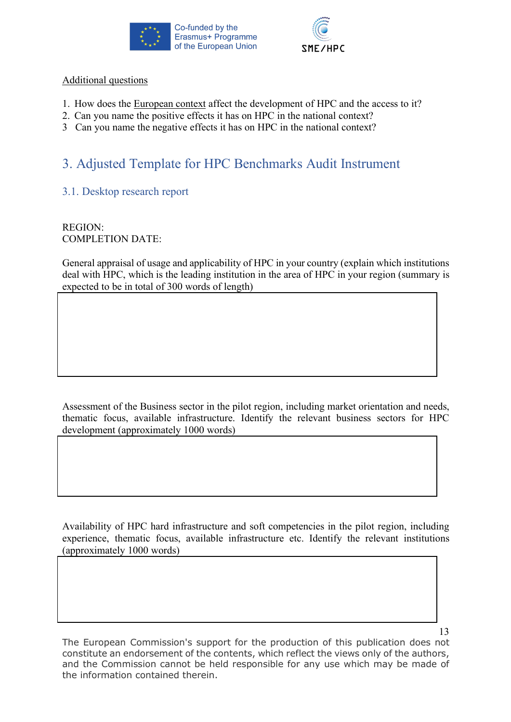



# Additional questions

- 1. How does the European context affect the development of HPC and the access to it?
- 2. Can you name the positive effects it has on HPC in the national context?
- 3 Can you name the negative effects it has on HPC in the national context?

# 3. Adjusted Template for HPC Benchmarks Audit Instrument

3.1. Desktop research report

REGION: COMPLETION DATE:

General appraisal of usage and applicability of HPC in your country (explain which institutions deal with HPC, which is the leading institution in the area of HPC in your region (summary is expected to be in total of 300 words of length)

Assessment of the Business sector in the pilot region, including market orientation and needs, thematic focus, available infrastructure. Identify the relevant business sectors for HPC development (approximately 1000 words)

Availability of HPC hard infrastructure and soft competencies in the pilot region, including experience, thematic focus, available infrastructure etc. Identify the relevant institutions (approximately 1000 words)

The European Commission's support for the production of this publication does not constitute an endorsement of the contents, which reflect the views only of the authors, and the Commission cannot be held responsible for any use which may be made of the information contained therein.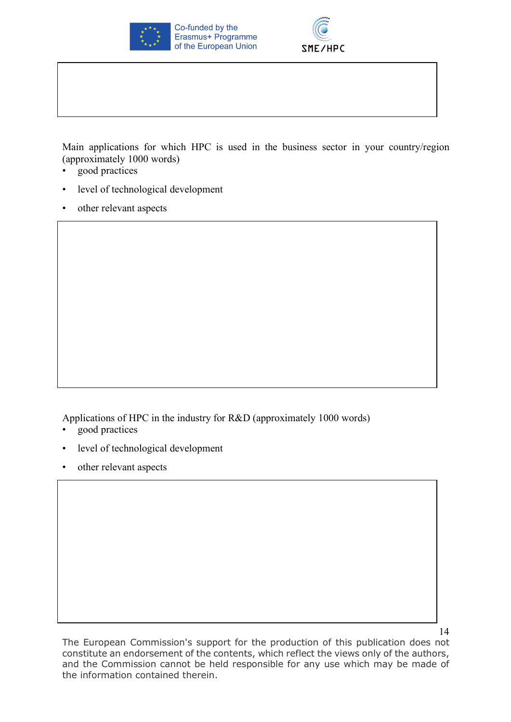



Main applications for which HPC is used in the business sector in your country/region (approximately 1000 words)

- good practices
- level of technological development
- other relevant aspects

Applications of HPC in the industry for R&D (approximately 1000 words)

- good practices
- level of technological development
- other relevant aspects

14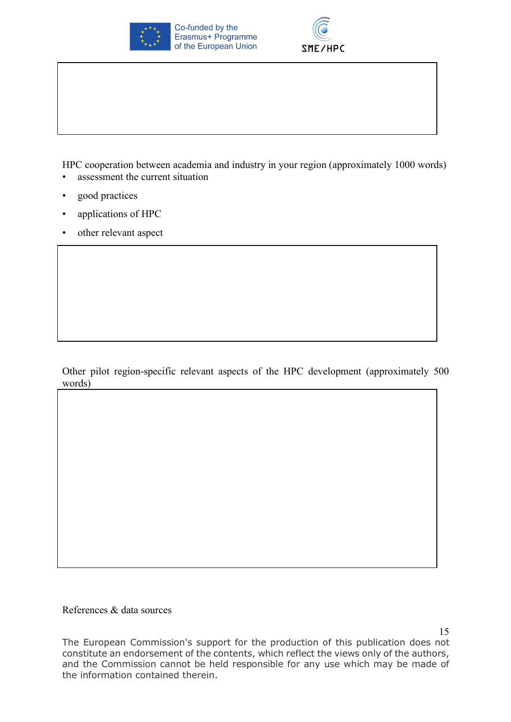



HPC cooperation between academia and industry in your region (approximately 1000 words) assessment the current situation

- good practices
- applications of HPC
- other relevant aspect

Other pilot region-specific relevant aspects of the HPC development (approximately 500 words)

References & data sources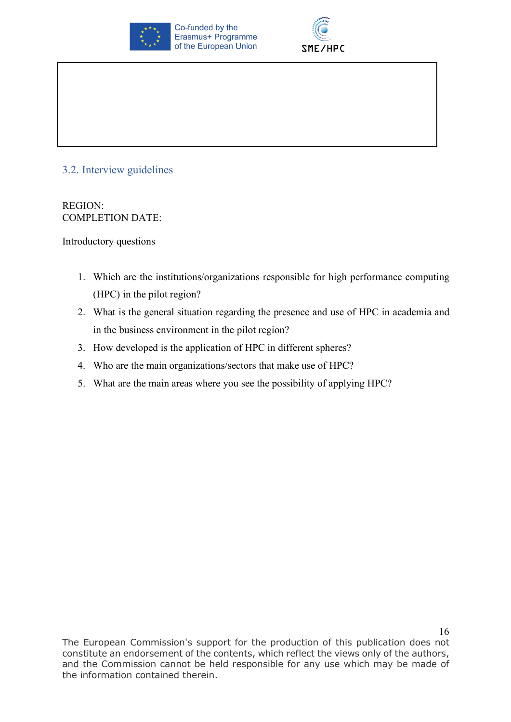



# 3.2. Interview guidelines

REGION: COMPLETION DATE:

Introductory questions

- 1. Which are the institutions/organizations responsible for high performance computing (HPC) in the pilot region?
- 2. What is the general situation regarding the presence and use of HPC in academia and in the business environment in the pilot region?
- 3. How developed is the application of HPC in different spheres?
- 4. Who are the main organizations/sectors that make use of HPC?
- 5. What are the main areas where you see the possibility of applying HPC?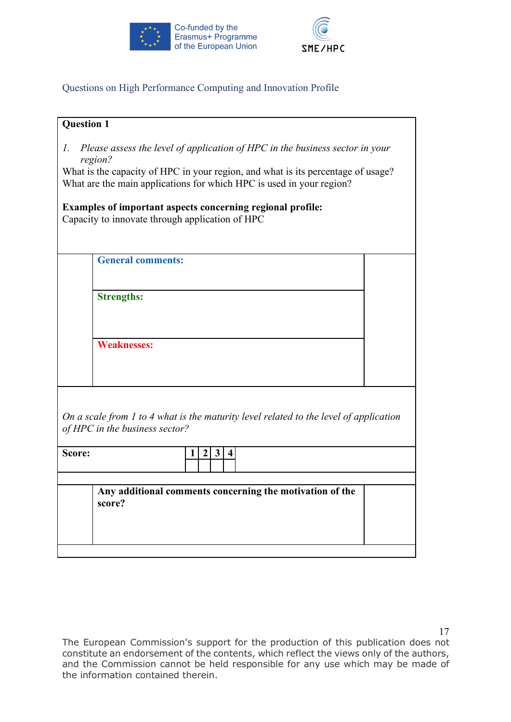



# Questions on High Performance Computing and Innovation Profile

| <b>Question 1</b> |                                                                                                                                                                                                                                                     |  |
|-------------------|-----------------------------------------------------------------------------------------------------------------------------------------------------------------------------------------------------------------------------------------------------|--|
| Ι.                | Please assess the level of application of HPC in the business sector in your<br>region?<br>What is the capacity of HPC in your region, and what is its percentage of usage?<br>What are the main applications for which HPC is used in your region? |  |
|                   | Examples of important aspects concerning regional profile:                                                                                                                                                                                          |  |
|                   | Capacity to innovate through application of HPC                                                                                                                                                                                                     |  |
|                   |                                                                                                                                                                                                                                                     |  |
|                   | <b>General comments:</b>                                                                                                                                                                                                                            |  |
|                   |                                                                                                                                                                                                                                                     |  |
|                   | <b>Strengths:</b>                                                                                                                                                                                                                                   |  |
|                   |                                                                                                                                                                                                                                                     |  |
|                   |                                                                                                                                                                                                                                                     |  |
|                   | <b>Weaknesses:</b>                                                                                                                                                                                                                                  |  |
|                   |                                                                                                                                                                                                                                                     |  |
|                   |                                                                                                                                                                                                                                                     |  |
|                   |                                                                                                                                                                                                                                                     |  |
|                   | On a scale from $l$ to $4$ what is the maturity level related to the level of application<br>of HPC in the business sector?                                                                                                                         |  |
| Score:            | $\boldsymbol{2}$<br>$\mathbf{3}$<br>$\overline{\mathbf{4}}$<br>1                                                                                                                                                                                    |  |
|                   |                                                                                                                                                                                                                                                     |  |
|                   | Any additional comments concerning the motivation of the<br>score?                                                                                                                                                                                  |  |
|                   |                                                                                                                                                                                                                                                     |  |
|                   |                                                                                                                                                                                                                                                     |  |
|                   |                                                                                                                                                                                                                                                     |  |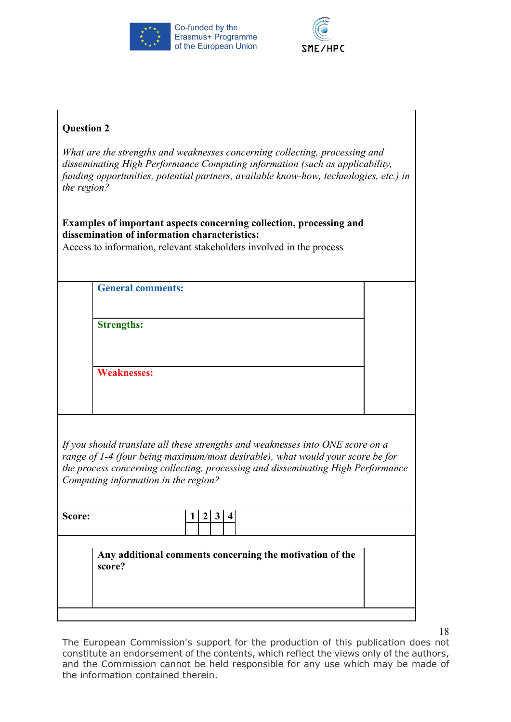



| <b>Question 2</b> |                                                                                                                                                                                                                                                                                              |  |
|-------------------|----------------------------------------------------------------------------------------------------------------------------------------------------------------------------------------------------------------------------------------------------------------------------------------------|--|
| the region?       | What are the strengths and weaknesses concerning collecting, processing and<br>disseminating High Performance Computing information (such as applicability,<br>funding opportunities, potential partners, available know-how, technologies, etc.) in                                         |  |
|                   | Examples of important aspects concerning collection, processing and<br>dissemination of information characteristics:<br>Access to information, relevant stakeholders involved in the process                                                                                                 |  |
|                   | <b>General comments:</b>                                                                                                                                                                                                                                                                     |  |
|                   | <b>Strengths:</b>                                                                                                                                                                                                                                                                            |  |
|                   | <b>Weaknesses:</b>                                                                                                                                                                                                                                                                           |  |
|                   | If you should translate all these strengths and weaknesses into ONE score on a<br>range of 1-4 (four being maximum/most desirable), what would your score be for<br>the process concerning collecting, processing and disseminating High Performance<br>Computing information in the region? |  |
| Score:            | $\mathbf{3}$<br>$\overline{2}$<br>$\overline{4}$<br>Ι.                                                                                                                                                                                                                                       |  |
|                   | Any additional comments concerning the motivation of the<br>score?                                                                                                                                                                                                                           |  |

18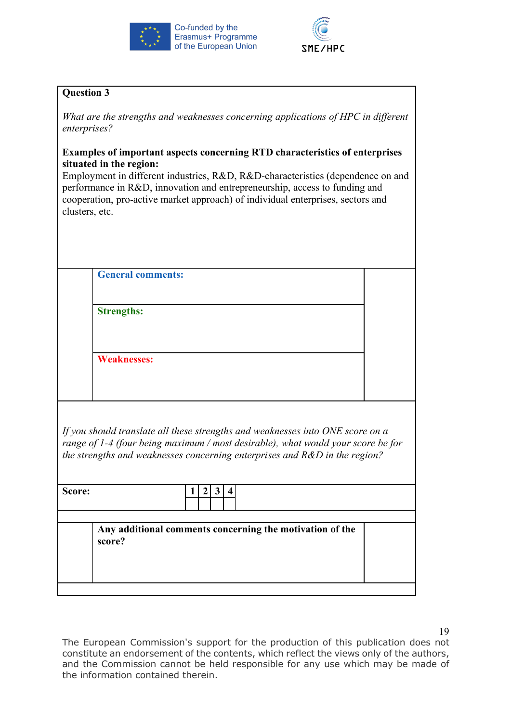



*What are the strengths and weaknesses concerning applications of HPC in different enterprises?*

# **Examples of important aspects concerning RTD characteristics of enterprises situated in the region:**

Employment in different industries, R&D, R&D-characteristics (dependence on and performance in R&D, innovation and entrepreneurship, access to funding and cooperation, pro-active market approach) of individual enterprises, sectors and clusters, etc.

**General comments:**

**Strengths:**

**Weaknesses:**

*If you should translate all these strengths and weaknesses into ONE score on a range of 1-4 (four being maximum / most desirable), what would your score be for the strengths and weaknesses concerning enterprises and R&D in the region?*

| Score: |                                                          |  |
|--------|----------------------------------------------------------|--|
| score? | Any additional comments concerning the motivation of the |  |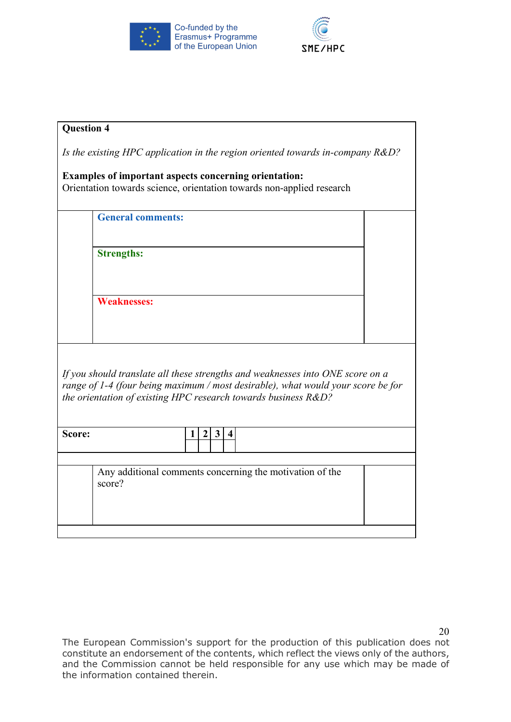



| <b>Question 4</b> |                                                       |                     |              |                  |                                                                                   |  |
|-------------------|-------------------------------------------------------|---------------------|--------------|------------------|-----------------------------------------------------------------------------------|--|
|                   |                                                       |                     |              |                  | Is the existing HPC application in the region oriented towards in-company $R&D$ ? |  |
|                   | Examples of important aspects concerning orientation: |                     |              |                  |                                                                                   |  |
|                   |                                                       |                     |              |                  | Orientation towards science, orientation towards non-applied research             |  |
|                   |                                                       |                     |              |                  |                                                                                   |  |
|                   | <b>General comments:</b>                              |                     |              |                  |                                                                                   |  |
|                   |                                                       |                     |              |                  |                                                                                   |  |
|                   |                                                       |                     |              |                  |                                                                                   |  |
|                   | <b>Strengths:</b>                                     |                     |              |                  |                                                                                   |  |
|                   |                                                       |                     |              |                  |                                                                                   |  |
|                   |                                                       |                     |              |                  |                                                                                   |  |
|                   |                                                       |                     |              |                  |                                                                                   |  |
|                   | <b>Weaknesses:</b>                                    |                     |              |                  |                                                                                   |  |
|                   |                                                       |                     |              |                  |                                                                                   |  |
|                   |                                                       |                     |              |                  |                                                                                   |  |
|                   |                                                       |                     |              |                  |                                                                                   |  |
|                   |                                                       |                     |              |                  |                                                                                   |  |
|                   |                                                       |                     |              |                  |                                                                                   |  |
|                   |                                                       |                     |              |                  | If you should translate all these strengths and weaknesses into ONE score on a    |  |
|                   |                                                       |                     |              |                  | range of 1-4 (four being maximum / most desirable), what would your score be for  |  |
|                   |                                                       |                     |              |                  | the orientation of existing HPC research towards business R&D?                    |  |
|                   |                                                       |                     |              |                  |                                                                                   |  |
|                   |                                                       |                     |              |                  |                                                                                   |  |
| Score:            |                                                       | $\overline{2}$<br>1 | $\mathbf{3}$ | $\boldsymbol{4}$ |                                                                                   |  |
|                   |                                                       |                     |              |                  |                                                                                   |  |
|                   |                                                       |                     |              |                  |                                                                                   |  |
|                   |                                                       |                     |              |                  | Any additional comments concerning the motivation of the                          |  |
|                   | score?                                                |                     |              |                  |                                                                                   |  |
|                   |                                                       |                     |              |                  |                                                                                   |  |
|                   |                                                       |                     |              |                  |                                                                                   |  |
|                   |                                                       |                     |              |                  |                                                                                   |  |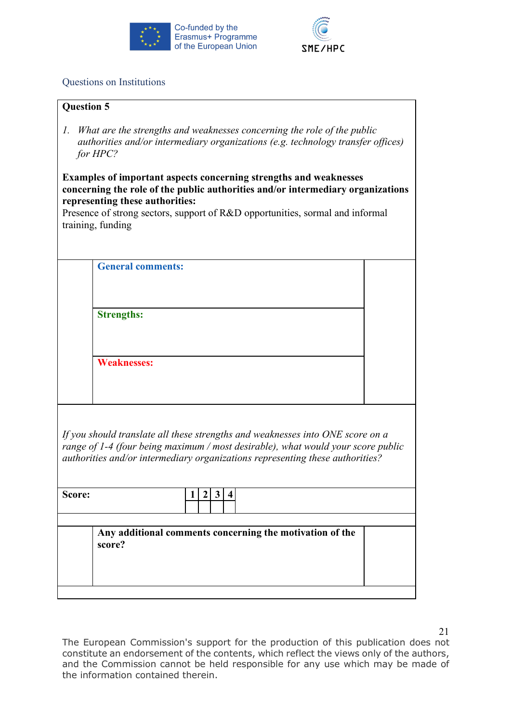



# Questions on Institutions

| <b>Question 5</b> |  |
|-------------------|--|
|                   |  |

*1. What are the strengths and weaknesses concerning the role of the public authorities and/or intermediary organizations (e.g. technology transfer offices) for HPC?* 

**Examples of important aspects concerning strengths and weaknesses concerning the role of the public authorities and/or intermediary organizations representing these authorities:** 

Presence of strong sectors, support of R&D opportunities, sormal and informal training, funding

**General comments:**

**Strengths:**

**Weaknesses:**

*If you should translate all these strengths and weaknesses into ONE score on a range of 1-4 (four being maximum / most desirable), what would your score public authorities and/or intermediary organizations representing these authorities?*

| score?                                                   | Score: |  |  |  |  |  |  |
|----------------------------------------------------------|--------|--|--|--|--|--|--|
| Any additional comments concerning the motivation of the |        |  |  |  |  |  |  |
|                                                          |        |  |  |  |  |  |  |

The European Commission's support for the production of this publication does not constitute an endorsement of the contents, which reflect the views only of the authors, and the Commission cannot be held responsible for any use which may be made of the information contained therein.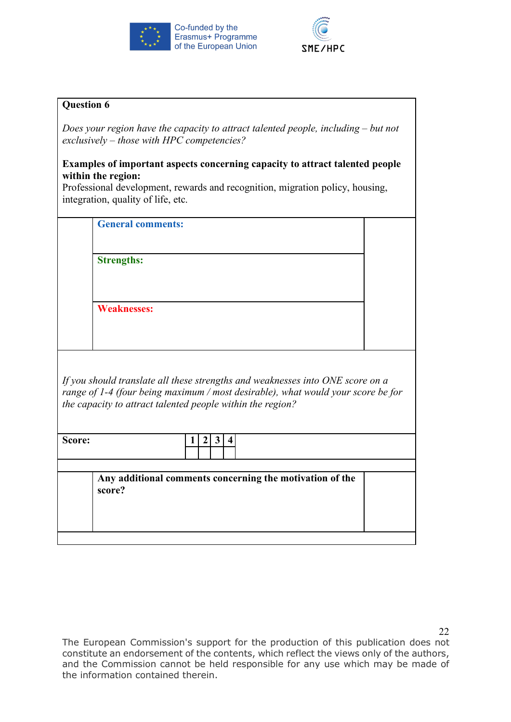



*Does your region have the capacity to attract talented people, including – but not exclusively – those with HPC competencies?*

# **Examples of important aspects concerning capacity to attract talented people within the region:**

Professional development, rewards and recognition, migration policy, housing, integration, quality of life, etc.

**General comments:**

**Strengths:**

**Weaknesses:**

*If you should translate all these strengths and weaknesses into ONE score on a range of 1-4 (four being maximum / most desirable), what would your score be for the capacity to attract talented people within the region?*

| Score: | ж |  |  |
|--------|---|--|--|
|        |   |  |  |
|        |   |  |  |

**Any additional comments concerning the motivation of the score?**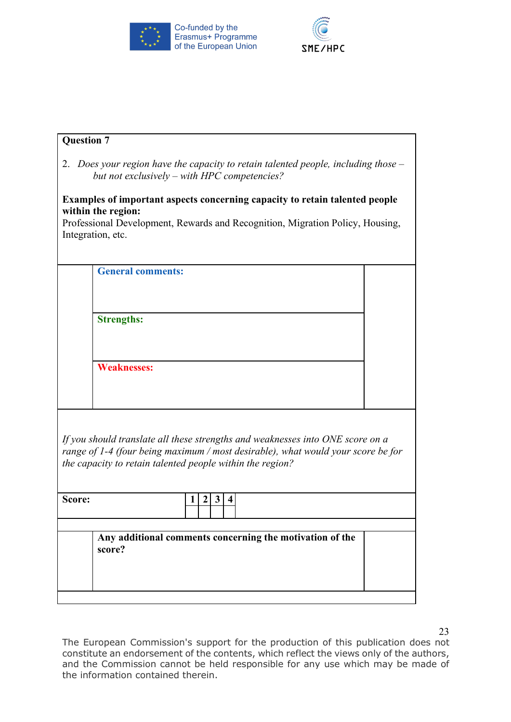



| <b>Question 7</b> |                                                                                                                                                                                                                                 |  |
|-------------------|---------------------------------------------------------------------------------------------------------------------------------------------------------------------------------------------------------------------------------|--|
|                   | 2. Does your region have the capacity to retain talented people, including those $-$<br>but not exclusively – with HPC competencies?                                                                                            |  |
|                   | <b>Examples of important aspects concerning capacity to retain talented people</b><br>within the region:<br>Professional Development, Rewards and Recognition, Migration Policy, Housing,<br>Integration, etc.                  |  |
|                   | <b>General comments:</b>                                                                                                                                                                                                        |  |
|                   | <b>Strengths:</b>                                                                                                                                                                                                               |  |
|                   | <b>Weaknesses:</b>                                                                                                                                                                                                              |  |
|                   | If you should translate all these strengths and weaknesses into ONE score on a<br>range of 1-4 (four being maximum / most desirable), what would your score be for<br>the capacity to retain talented people within the region? |  |
| Score:            | 3<br>2<br>1<br>4                                                                                                                                                                                                                |  |
|                   | Any additional comments concerning the motivation of the<br>score?                                                                                                                                                              |  |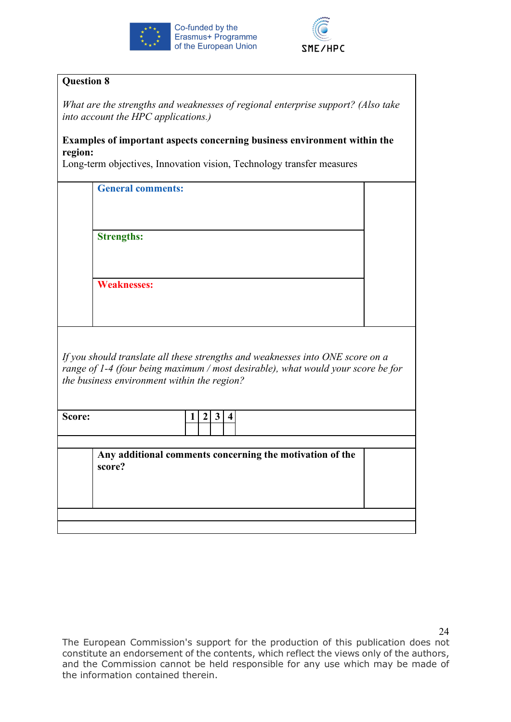



*What are the strengths and weaknesses of regional enterprise support? (Also take into account the HPC applications.)*

#### **Examples of important aspects concerning business environment within the region:**

Long-term objectives, Innovation vision, Technology transfer measures

| <b>General comments:</b>                                                                                                                                                                                          |  |
|-------------------------------------------------------------------------------------------------------------------------------------------------------------------------------------------------------------------|--|
| <b>Strengths:</b>                                                                                                                                                                                                 |  |
| <b>Weaknesses:</b>                                                                                                                                                                                                |  |
|                                                                                                                                                                                                                   |  |
| If you should translate all these strengths and weaknesses into ONE score on a<br>range of 1-4 (four being maximum / most desirable), what would your score be for<br>the business environment within the region? |  |
| $\boldsymbol{2}$<br>3 <sup>1</sup><br>$\overline{\mathbf{4}}$<br>Score:<br>1                                                                                                                                      |  |
| Any additional comments concerning the motivation of the<br>score?                                                                                                                                                |  |
|                                                                                                                                                                                                                   |  |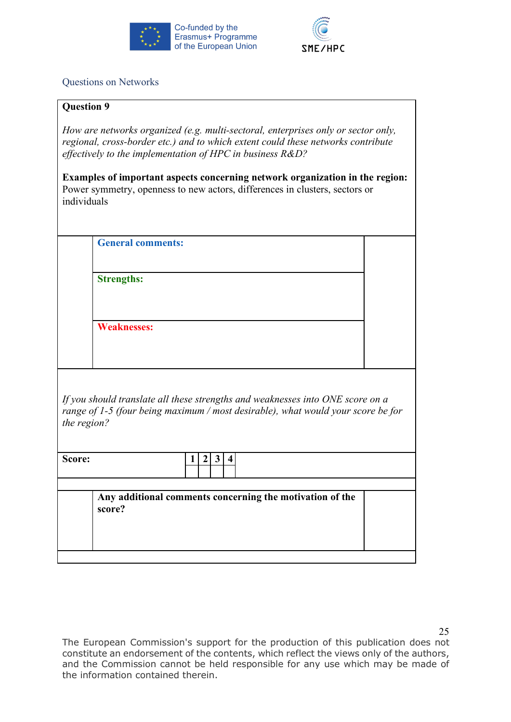



# Questions on Networks

### **Question 9**

*How are networks organized (e.g. multi-sectoral, enterprises only or sector only, regional, cross-border etc.) and to which extent could these networks contribute effectively to the implementation of HPC in business R&D?*

**Examples of important aspects concerning network organization in the region:** Power symmetry, openness to new actors, differences in clusters, sectors or individuals

**General comments:**

**Strengths:**

**Weaknesses:**

*If you should translate all these strengths and weaknesses into ONE score on a range of 1-5 (four being maximum / most desirable), what would your score be for the region?*

| Score: |                                                                    |  |
|--------|--------------------------------------------------------------------|--|
|        | Any additional comments concerning the motivation of the<br>score? |  |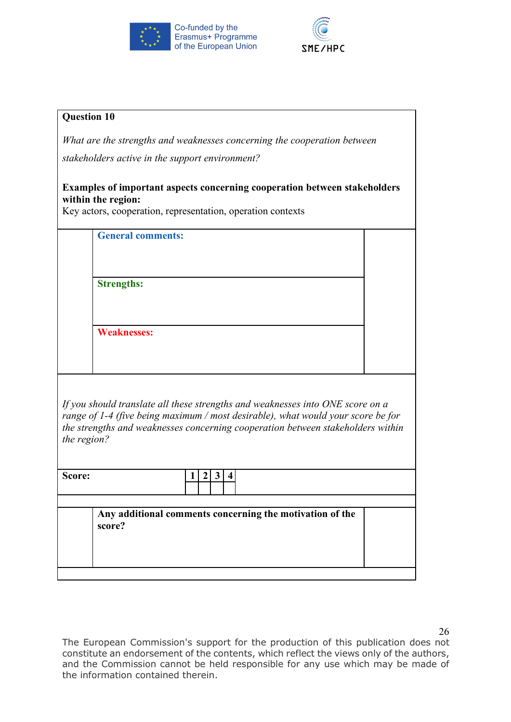



| <b>Question 10</b>                                                                                                                                                                                                                                                   |  |  |
|----------------------------------------------------------------------------------------------------------------------------------------------------------------------------------------------------------------------------------------------------------------------|--|--|
| What are the strengths and weaknesses concerning the cooperation between                                                                                                                                                                                             |  |  |
| stakeholders active in the support environment?                                                                                                                                                                                                                      |  |  |
| <b>Examples of important aspects concerning cooperation between stakeholders</b><br>within the region:<br>Key actors, cooperation, representation, operation contexts                                                                                                |  |  |
| <b>General comments:</b>                                                                                                                                                                                                                                             |  |  |
|                                                                                                                                                                                                                                                                      |  |  |
| <b>Strengths:</b>                                                                                                                                                                                                                                                    |  |  |
|                                                                                                                                                                                                                                                                      |  |  |
| <b>Weaknesses:</b>                                                                                                                                                                                                                                                   |  |  |
|                                                                                                                                                                                                                                                                      |  |  |
|                                                                                                                                                                                                                                                                      |  |  |
| If you should translate all these strengths and weaknesses into ONE score on a<br>range of 1-4 (five being maximum / most desirable), what would your score be for<br>the strengths and weaknesses concerning cooperation between stakeholders within<br>the region? |  |  |
| Score:<br>3<br>2                                                                                                                                                                                                                                                     |  |  |
|                                                                                                                                                                                                                                                                      |  |  |
| Any additional comments concerning the motivation of the<br>score?                                                                                                                                                                                                   |  |  |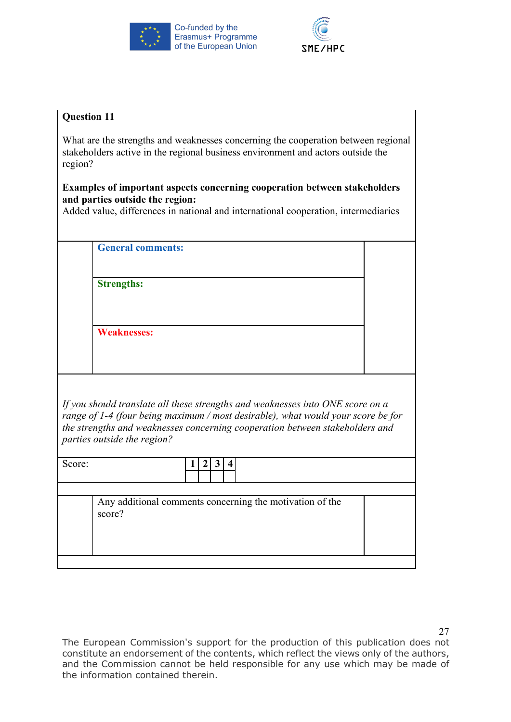



# What are the strengths and weaknesses concerning the cooperation between regional stakeholders active in the regional business environment and actors outside the region? **Examples of important aspects concerning cooperation between stakeholders and parties outside the region:**  Added value, differences in national and international cooperation, intermediaries **General comments: Strengths: Weaknesses:** *If you should translate all these strengths and weaknesses into ONE score on a range of 1-4 (four being maximum / most desirable), what would your score be for the strengths and weaknesses concerning cooperation between stakeholders and parties outside the region?* Score: **1 2 3 4** Any additional comments concerning the motivation of the score?

The European Commission's support for the production of this publication does not constitute an endorsement of the contents, which reflect the views only of the authors, and the Commission cannot be held responsible for any use which may be made of the information contained therein.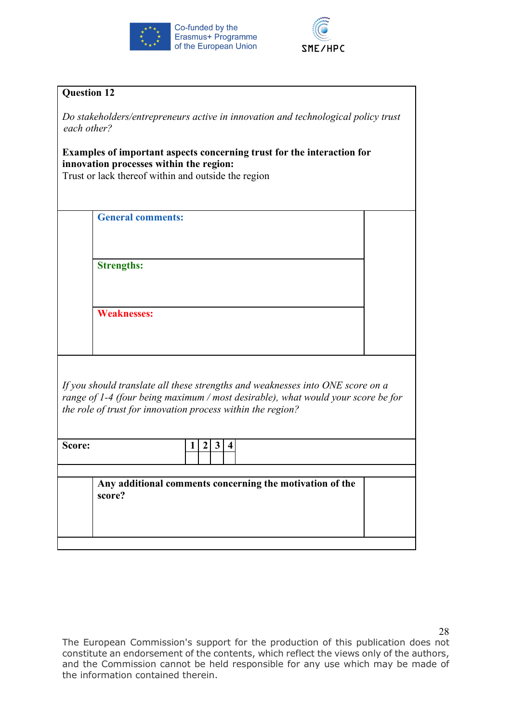



| <b>Question 12</b>                                                                                                                                                                                                                                                           |                                                                    |  |
|------------------------------------------------------------------------------------------------------------------------------------------------------------------------------------------------------------------------------------------------------------------------------|--------------------------------------------------------------------|--|
| Do stakeholders/entrepreneurs active in innovation and technological policy trust<br>each other?<br>Examples of important aspects concerning trust for the interaction for<br>innovation processes within the region:<br>Trust or lack thereof within and outside the region |                                                                    |  |
|                                                                                                                                                                                                                                                                              | <b>General comments:</b>                                           |  |
|                                                                                                                                                                                                                                                                              |                                                                    |  |
|                                                                                                                                                                                                                                                                              | <b>Strengths:</b>                                                  |  |
|                                                                                                                                                                                                                                                                              |                                                                    |  |
|                                                                                                                                                                                                                                                                              | <b>Weaknesses:</b>                                                 |  |
| If you should translate all these strengths and weaknesses into ONE score on a<br>range of 1-4 (four being maximum / most desirable), what would your score be for<br>the role of trust for innovation process within the region?                                            |                                                                    |  |
| Score:                                                                                                                                                                                                                                                                       | 3<br>$\boldsymbol{2}$<br>4                                         |  |
|                                                                                                                                                                                                                                                                              | Any additional comments concerning the motivation of the<br>score? |  |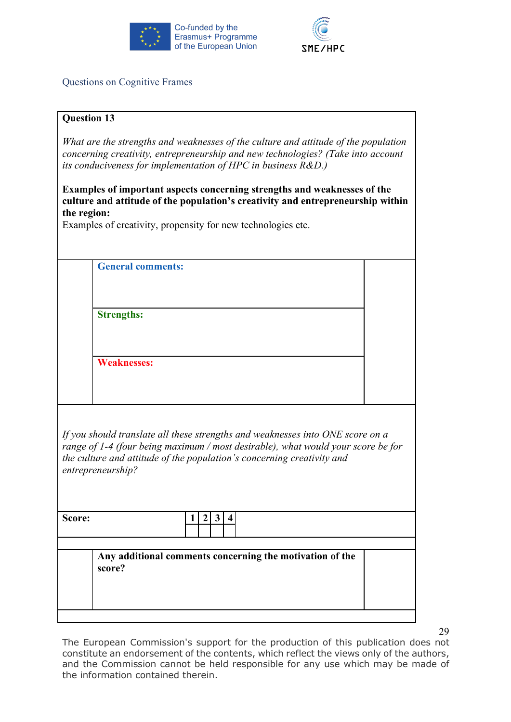



Questions on Cognitive Frames

|                                                                                                                                                                                                                                                                   |                                                                    | <b>Question 13</b> |  |  |
|-------------------------------------------------------------------------------------------------------------------------------------------------------------------------------------------------------------------------------------------------------------------|--------------------------------------------------------------------|--------------------|--|--|
| What are the strengths and weaknesses of the culture and attitude of the population<br>concerning creativity, entrepreneurship and new technologies? (Take into account<br>its conduciveness for implementation of HPC in business $R&D$ .)                       |                                                                    |                    |  |  |
| Examples of important aspects concerning strengths and weaknesses of the<br>culture and attitude of the population's creativity and entrepreneurship within<br>the region:<br>Examples of creativity, propensity for new technologies etc.                        |                                                                    |                    |  |  |
|                                                                                                                                                                                                                                                                   | <b>General comments:</b>                                           |                    |  |  |
|                                                                                                                                                                                                                                                                   | <b>Strengths:</b>                                                  |                    |  |  |
|                                                                                                                                                                                                                                                                   | <b>Weaknesses:</b>                                                 |                    |  |  |
| If you should translate all these strengths and weaknesses into ONE score on a<br>range of 1-4 (four being maximum / most desirable), what would your score be for<br>the culture and attitude of the population's concerning creativity and<br>entrepreneurship? |                                                                    |                    |  |  |
| Score:                                                                                                                                                                                                                                                            | $\mathbf{3}$<br>$\mathbf{2}$<br>$\overline{4}$<br>1                |                    |  |  |
|                                                                                                                                                                                                                                                                   |                                                                    |                    |  |  |
|                                                                                                                                                                                                                                                                   | Any additional comments concerning the motivation of the<br>score? |                    |  |  |
|                                                                                                                                                                                                                                                                   |                                                                    |                    |  |  |

29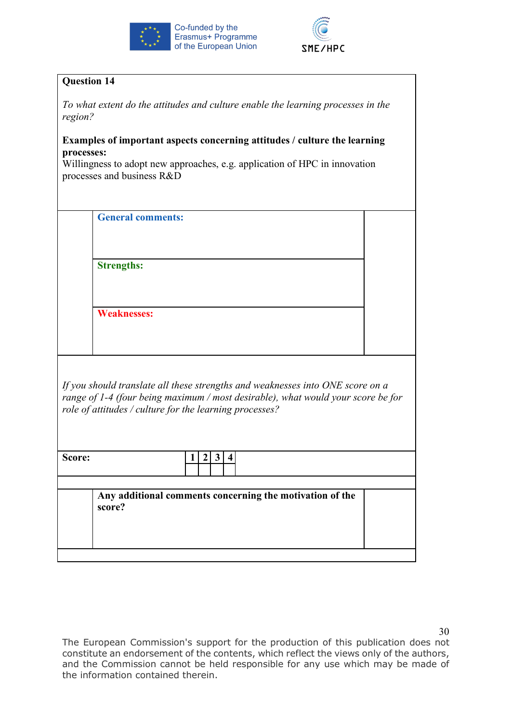



|                                                                                                                                                                                                                               | <b>Question 14</b>                                                        |  |  |
|-------------------------------------------------------------------------------------------------------------------------------------------------------------------------------------------------------------------------------|---------------------------------------------------------------------------|--|--|
| To what extent do the attitudes and culture enable the learning processes in the<br>region?                                                                                                                                   |                                                                           |  |  |
| processes:                                                                                                                                                                                                                    | Examples of important aspects concerning attitudes / culture the learning |  |  |
| Willingness to adopt new approaches, e.g. application of HPC in innovation<br>processes and business R&D                                                                                                                      |                                                                           |  |  |
|                                                                                                                                                                                                                               | <b>General comments:</b>                                                  |  |  |
|                                                                                                                                                                                                                               | <b>Strengths:</b>                                                         |  |  |
|                                                                                                                                                                                                                               | <b>Weaknesses:</b>                                                        |  |  |
| If you should translate all these strengths and weaknesses into ONE score on a<br>range of 1-4 (four being maximum / most desirable), what would your score be for<br>role of attitudes / culture for the learning processes? |                                                                           |  |  |
| Score:                                                                                                                                                                                                                        | 1 2 3 4                                                                   |  |  |
|                                                                                                                                                                                                                               | Any additional comments concerning the motivation of the<br>score?        |  |  |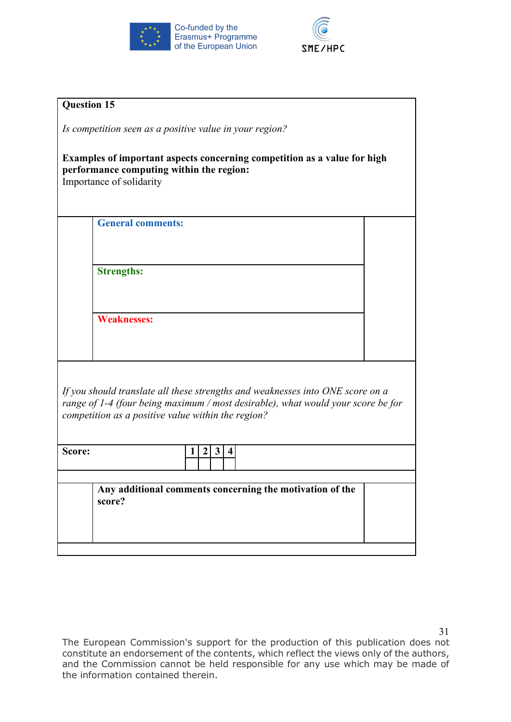



|                                                                                                                                                                                                                          | <b>Question 15</b>                                                 |  |  |
|--------------------------------------------------------------------------------------------------------------------------------------------------------------------------------------------------------------------------|--------------------------------------------------------------------|--|--|
| Is competition seen as a positive value in your region?                                                                                                                                                                  |                                                                    |  |  |
| Examples of important aspects concerning competition as a value for high<br>performance computing within the region:<br>Importance of solidarity                                                                         |                                                                    |  |  |
|                                                                                                                                                                                                                          | <b>General comments:</b>                                           |  |  |
|                                                                                                                                                                                                                          | <b>Strengths:</b>                                                  |  |  |
|                                                                                                                                                                                                                          |                                                                    |  |  |
|                                                                                                                                                                                                                          | <b>Weaknesses:</b>                                                 |  |  |
| If you should translate all these strengths and weaknesses into ONE score on a<br>range of 1-4 (four being maximum / most desirable), what would your score be for<br>competition as a positive value within the region? |                                                                    |  |  |
| Score:                                                                                                                                                                                                                   | 3 4<br>$\boldsymbol{2}$<br>1                                       |  |  |
|                                                                                                                                                                                                                          | Any additional comments concerning the motivation of the<br>score? |  |  |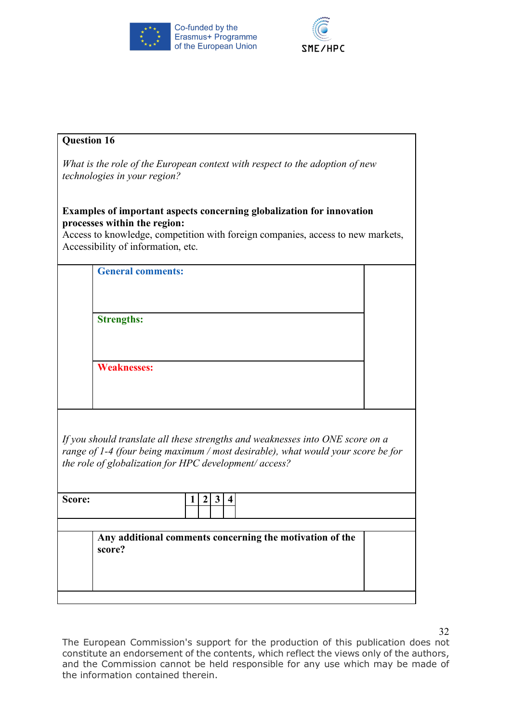



| <b>Question 16</b>                                                                                                                                                                                                                    |  |  |
|---------------------------------------------------------------------------------------------------------------------------------------------------------------------------------------------------------------------------------------|--|--|
| What is the role of the European context with respect to the adoption of new<br><i>technologies in your region?</i>                                                                                                                   |  |  |
| <b>Examples of important aspects concerning globalization for innovation</b><br>processes within the region:<br>Access to knowledge, competition with foreign companies, access to new markets,<br>Accessibility of information, etc. |  |  |
| <b>General comments:</b>                                                                                                                                                                                                              |  |  |
|                                                                                                                                                                                                                                       |  |  |
| <b>Strengths:</b>                                                                                                                                                                                                                     |  |  |
|                                                                                                                                                                                                                                       |  |  |
| <b>Weaknesses:</b>                                                                                                                                                                                                                    |  |  |
|                                                                                                                                                                                                                                       |  |  |
|                                                                                                                                                                                                                                       |  |  |
| If you should translate all these strengths and weaknesses into ONE score on a<br>range of 1-4 (four being maximum / most desirable), what would your score be for<br>the role of globalization for HPC development/ access?          |  |  |
| Score:<br>$\overline{2}$<br>$\mathbf{3}$<br>$\overline{4}$<br>$\mathbf{I}$                                                                                                                                                            |  |  |
|                                                                                                                                                                                                                                       |  |  |
| Any additional comments concerning the motivation of the<br>score?                                                                                                                                                                    |  |  |
|                                                                                                                                                                                                                                       |  |  |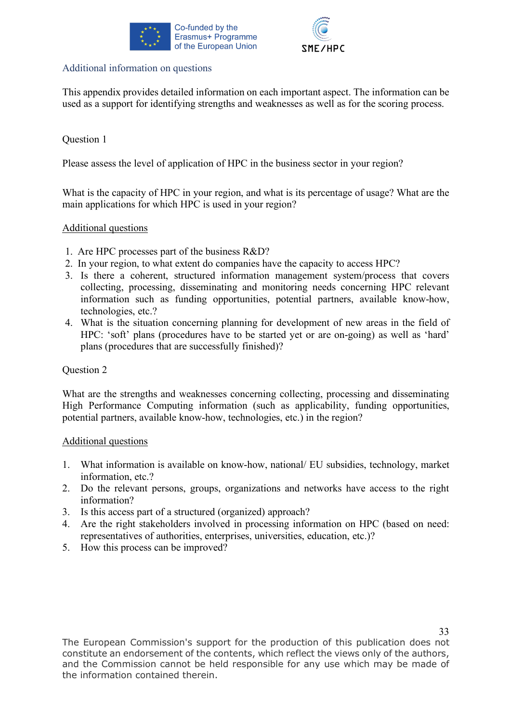



# Additional information on questions

This appendix provides detailed information on each important aspect. The information can be used as a support for identifying strengths and weaknesses as well as for the scoring process.

# Question 1

Please assess the level of application of HPC in the business sector in your region?

What is the capacity of HPC in your region, and what is its percentage of usage? What are the main applications for which HPC is used in your region?

# Additional questions

- 1. Are HPC processes part of the business R&D?
- 2. In your region, to what extent do companies have the capacity to access HPC?
- 3. Is there a coherent, structured information management system/process that covers collecting, processing, disseminating and monitoring needs concerning HPC relevant information such as funding opportunities, potential partners, available know-how, technologies, etc.?
- 4. What is the situation concerning planning for development of new areas in the field of HPC: 'soft' plans (procedures have to be started yet or are on-going) as well as 'hard' plans (procedures that are successfully finished)?

# Question 2

What are the strengths and weaknesses concerning collecting, processing and disseminating High Performance Computing information (such as applicability, funding opportunities, potential partners, available know-how, technologies, etc.) in the region?

#### Additional questions

- 1. What information is available on know-how, national/ EU subsidies, technology, market information, etc.?
- 2. Do the relevant persons, groups, organizations and networks have access to the right information?
- 3. Is this access part of a structured (organized) approach?
- 4. Are the right stakeholders involved in processing information on HPC (based on need: representatives of authorities, enterprises, universities, education, etc.)?
- 5. How this process can be improved?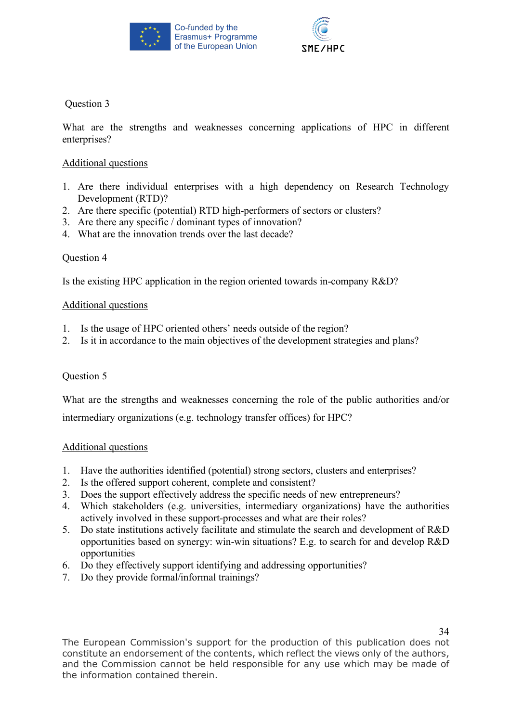



What are the strengths and weaknesses concerning applications of HPC in different enterprises?

### Additional questions

- 1. Are there individual enterprises with a high dependency on Research Technology Development (RTD)?
- 2. Are there specific (potential) RTD high-performers of sectors or clusters?
- 3. Are there any specific / dominant types of innovation?
- 4. What are the innovation trends over the last decade?

# Question 4

Is the existing HPC application in the region oriented towards in-company R&D?

#### Additional questions

- 1. Is the usage of HPC oriented others' needs outside of the region?
- 2. Is it in accordance to the main objectives of the development strategies and plans?

#### Question 5

What are the strengths and weaknesses concerning the role of the public authorities and/or

intermediary organizations (e.g. technology transfer offices) for HPC?

#### Additional questions

- 1. Have the authorities identified (potential) strong sectors, clusters and enterprises?
- 2. Is the offered support coherent, complete and consistent?
- 3. Does the support effectively address the specific needs of new entrepreneurs?
- 4. Which stakeholders (e.g. universities, intermediary organizations) have the authorities actively involved in these support-processes and what are their roles?
- 5. Do state institutions actively facilitate and stimulate the search and development of R&D opportunities based on synergy: win-win situations? E.g. to search for and develop R&D opportunities
- 6. Do they effectively support identifying and addressing opportunities?
- 7. Do they provide formal/informal trainings?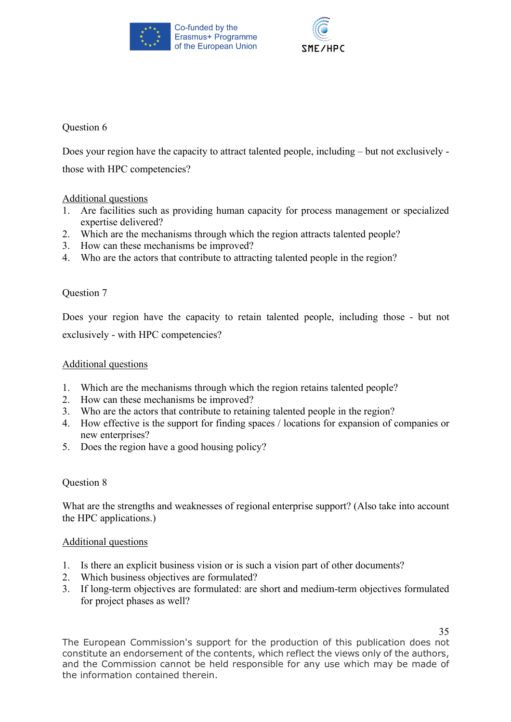



Does your region have the capacity to attract talented people, including – but not exclusively those with HPC competencies?

# Additional questions

- 1. Are facilities such as providing human capacity for process management or specialized expertise delivered?
- 2. Which are the mechanisms through which the region attracts talented people?
- 3. How can these mechanisms be improved?
- 4. Who are the actors that contribute to attracting talented people in the region?

# Question 7

Does your region have the capacity to retain talented people, including those - but not exclusively - with HPC competencies?

# Additional questions

- 1. Which are the mechanisms through which the region retains talented people?
- 2. How can these mechanisms be improved?
- 3. Who are the actors that contribute to retaining talented people in the region?
- 4. How effective is the support for finding spaces / locations for expansion of companies or new enterprises?
- 5. Does the region have a good housing policy?

# Question 8

What are the strengths and weaknesses of regional enterprise support? (Also take into account the HPC applications.)

# Additional questions

- 1. Is there an explicit business vision or is such a vision part of other documents?
- 2. Which business objectives are formulated?
- 3. If long-term objectives are formulated: are short and medium-term objectives formulated for project phases as well?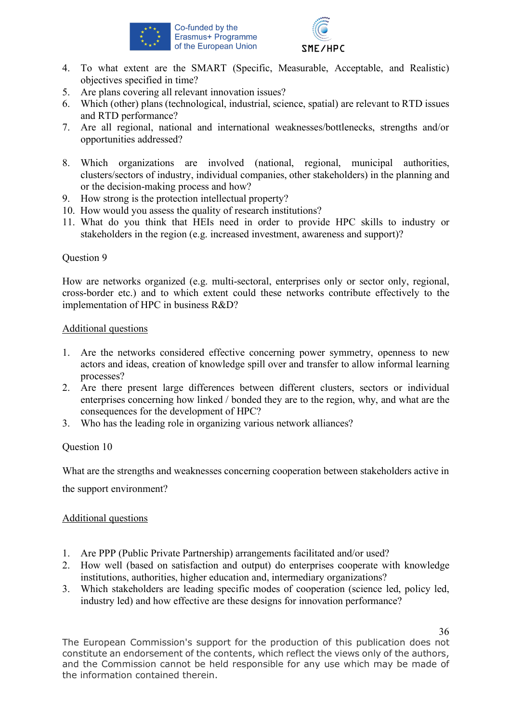



- 4. To what extent are the SMART (Specific, Measurable, Acceptable, and Realistic) objectives specified in time?
- 5. Are plans covering all relevant innovation issues?
- 6. Which (other) plans (technological, industrial, science, spatial) are relevant to RTD issues and RTD performance?
- 7. Are all regional, national and international weaknesses/bottlenecks, strengths and/or opportunities addressed?
- 8. Which organizations are involved (national, regional, municipal authorities, clusters/sectors of industry, individual companies, other stakeholders) in the planning and or the decision-making process and how?
- 9. How strong is the protection intellectual property?
- 10. How would you assess the quality of research institutions?
- 11. What do you think that HEIs need in order to provide HPC skills to industry or stakeholders in the region (e.g. increased investment, awareness and support)?

How are networks organized (e.g. multi-sectoral, enterprises only or sector only, regional, cross-border etc.) and to which extent could these networks contribute effectively to the implementation of HPC in business R&D?

#### Additional questions

- 1. Are the networks considered effective concerning power symmetry, openness to new actors and ideas, creation of knowledge spill over and transfer to allow informal learning processes?
- 2. Are there present large differences between different clusters, sectors or individual enterprises concerning how linked / bonded they are to the region, why, and what are the consequences for the development of HPC?
- 3. Who has the leading role in organizing various network alliances?

Question 10

What are the strengths and weaknesses concerning cooperation between stakeholders active in

the support environment?

#### Additional questions

- 1. Are PPP (Public Private Partnership) arrangements facilitated and/or used?
- 2. How well (based on satisfaction and output) do enterprises cooperate with knowledge institutions, authorities, higher education and, intermediary organizations?
- 3. Which stakeholders are leading specific modes of cooperation (science led, policy led, industry led) and how effective are these designs for innovation performance?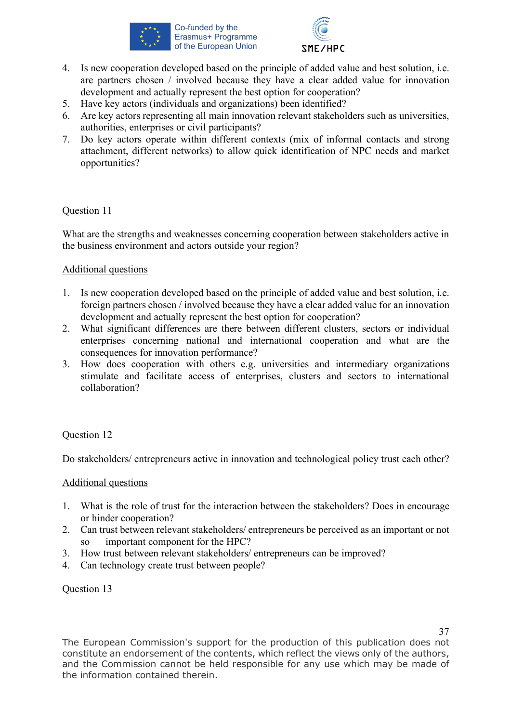



- 4. Is new cooperation developed based on the principle of added value and best solution, i.e. are partners chosen / involved because they have a clear added value for innovation development and actually represent the best option for cooperation?
- 5. Have key actors (individuals and organizations) been identified?
- 6. Are key actors representing all main innovation relevant stakeholders such as universities, authorities, enterprises or civil participants?
- 7. Do key actors operate within different contexts (mix of informal contacts and strong attachment, different networks) to allow quick identification of NPC needs and market opportunities?

What are the strengths and weaknesses concerning cooperation between stakeholders active in the business environment and actors outside your region?

# Additional questions

- 1. Is new cooperation developed based on the principle of added value and best solution, i.e. foreign partners chosen / involved because they have a clear added value for an innovation development and actually represent the best option for cooperation?
- 2. What significant differences are there between different clusters, sectors or individual enterprises concerning national and international cooperation and what are the consequences for innovation performance?
- 3. How does cooperation with others e.g. universities and intermediary organizations stimulate and facilitate access of enterprises, clusters and sectors to international collaboration?

# Question 12

Do stakeholders/ entrepreneurs active in innovation and technological policy trust each other?

# Additional questions

- 1. What is the role of trust for the interaction between the stakeholders? Does in encourage or hinder cooperation?
- 2. Can trust between relevant stakeholders/ entrepreneurs be perceived as an important or not so important component for the HPC?
- 3. How trust between relevant stakeholders/ entrepreneurs can be improved?
- 4. Can technology create trust between people?

# Question 13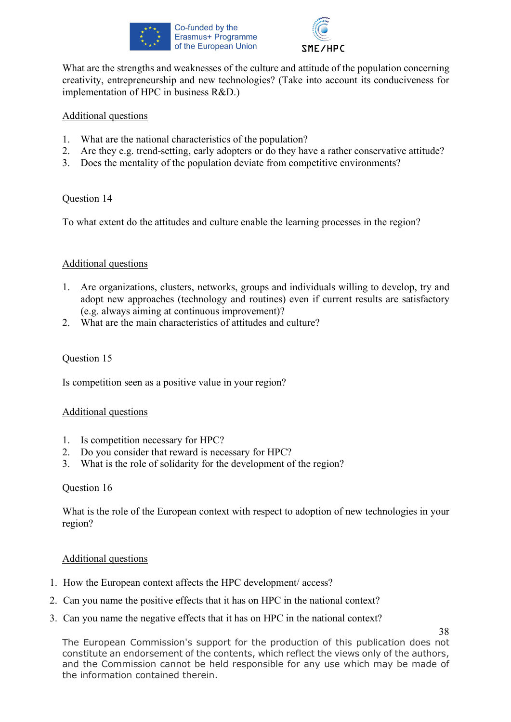



What are the strengths and weaknesses of the culture and attitude of the population concerning creativity, entrepreneurship and new technologies? (Take into account its conduciveness for implementation of HPC in business R&D.)

### Additional questions

- 1. What are the national characteristics of the population?
- 2. Are they e.g. trend-setting, early adopters or do they have a rather conservative attitude?
- 3. Does the mentality of the population deviate from competitive environments?

# Question 14

To what extent do the attitudes and culture enable the learning processes in the region?

#### Additional questions

- 1. Are organizations, clusters, networks, groups and individuals willing to develop, try and adopt new approaches (technology and routines) even if current results are satisfactory (e.g. always aiming at continuous improvement)?
- 2. What are the main characteristics of attitudes and culture?

# Question 15

Is competition seen as a positive value in your region?

#### Additional questions

- 1. Is competition necessary for HPC?
- 2. Do you consider that reward is necessary for HPC?
- 3. What is the role of solidarity for the development of the region?

#### Question 16

What is the role of the European context with respect to adoption of new technologies in your region?

#### Additional questions

- 1. How the European context affects the HPC development/ access?
- 2. Can you name the positive effects that it has on HPC in the national context?
- 3. Can you name the negative effects that it has on HPC in the national context?

38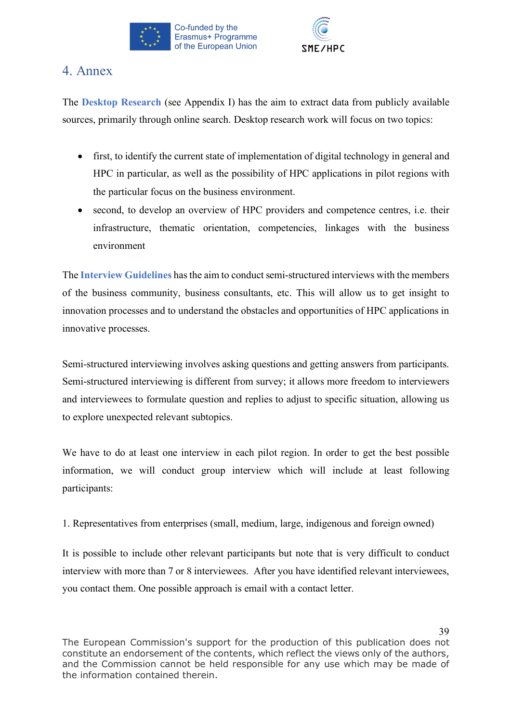



# 4. Annex

The **Desktop Research** (see Appendix I) has the aim to extract data from publicly available sources, primarily through online search. Desktop research work will focus on two topics:

- first, to identify the current state of implementation of digital technology in general and HPC in particular, as well as the possibility of HPC applications in pilot regions with the particular focus on the business environment.
- second, to develop an overview of HPC providers and competence centres, i.e. their infrastructure, thematic orientation, competencies, linkages with the business environment

The **Interview Guidelines** has the aim to conduct semi-structured interviews with the members of the business community, business consultants, etc. This will allow us to get insight to innovation processes and to understand the obstacles and opportunities of HPC applications in innovative processes.

Semi-structured interviewing involves asking questions and getting answers from participants. Semi-structured interviewing is different from survey; it allows more freedom to interviewers and interviewees to formulate question and replies to adjust to specific situation, allowing us to explore unexpected relevant subtopics.

We have to do at least one interview in each pilot region. In order to get the best possible information, we will conduct group interview which will include at least following participants:

1. Representatives from enterprises (small, medium, large, indigenous and foreign owned)

It is possible to include other relevant participants but note that is very difficult to conduct interview with more than 7 or 8 interviewees. After you have identified relevant interviewees, you contact them. One possible approach is email with a contact letter.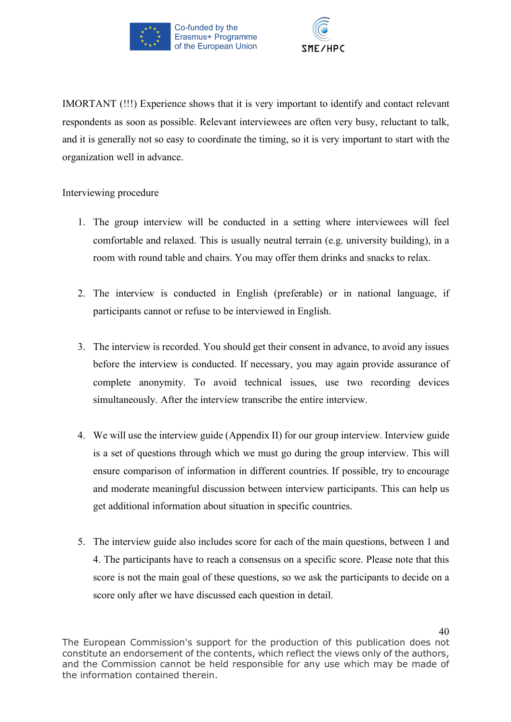



IMORTANT (!!!) Experience shows that it is very important to identify and contact relevant respondents as soon as possible. Relevant interviewees are often very busy, reluctant to talk, and it is generally not so easy to coordinate the timing, so it is very important to start with the organization well in advance.

# Interviewing procedure

- 1. The group interview will be conducted in a setting where interviewees will feel comfortable and relaxed. This is usually neutral terrain (e.g. university building), in a room with round table and chairs. You may offer them drinks and snacks to relax.
- 2. The interview is conducted in English (preferable) or in national language, if participants cannot or refuse to be interviewed in English.
- 3. The interview is recorded. You should get their consent in advance, to avoid any issues before the interview is conducted. If necessary, you may again provide assurance of complete anonymity. To avoid technical issues, use two recording devices simultaneously. After the interview transcribe the entire interview.
- 4. We will use the interview guide (Appendix II) for our group interview. Interview guide is a set of questions through which we must go during the group interview. This will ensure comparison of information in different countries. If possible, try to encourage and moderate meaningful discussion between interview participants. This can help us get additional information about situation in specific countries.
- 5. The interview guide also includes score for each of the main questions, between 1 and 4. The participants have to reach a consensus on a specific score. Please note that this score is not the main goal of these questions, so we ask the participants to decide on a score only after we have discussed each question in detail.